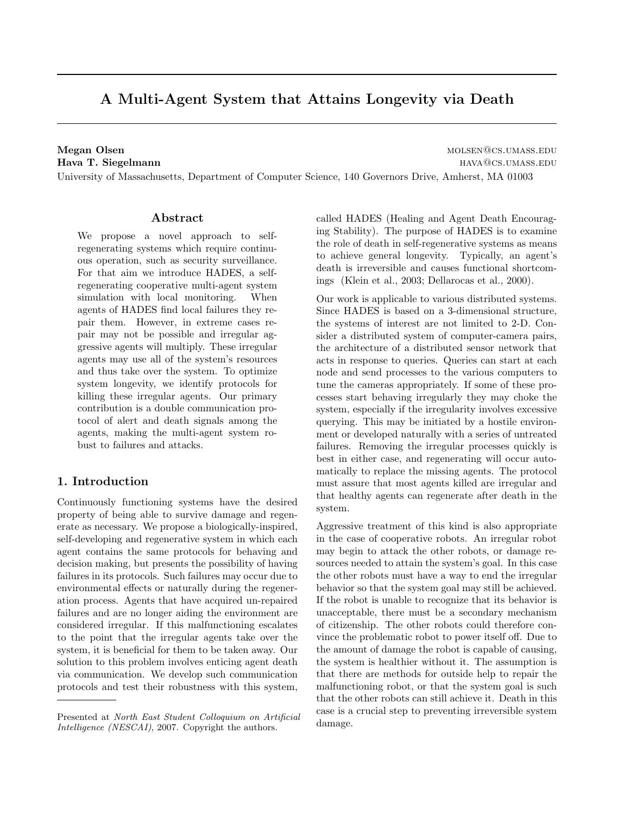# A Multi-Agent System that Attains Longevity via Death

Megan Olsen molsen molecules and the molecules of the molecules of the molecules  $\sim$  MOLSEN@CS.UMASS.EDU Hava T. Siegelmann hava the state of the state of the state of the state of the state of the state of the state of the state of the state of the state of the state of the state of the state of the state of the state of the

University of Massachusetts, Department of Computer Science, 140 Governors Drive, Amherst, MA 01003

# Abstract

We propose a novel approach to selfregenerating systems which require continuous operation, such as security surveillance. For that aim we introduce HADES, a selfregenerating cooperative multi-agent system simulation with local monitoring. When agents of HADES find local failures they repair them. However, in extreme cases repair may not be possible and irregular aggressive agents will multiply. These irregular agents may use all of the system's resources and thus take over the system. To optimize system longevity, we identify protocols for killing these irregular agents. Our primary contribution is a double communication protocol of alert and death signals among the agents, making the multi-agent system robust to failures and attacks.

# 1. Introduction

Continuously functioning systems have the desired property of being able to survive damage and regenerate as necessary. We propose a biologically-inspired, self-developing and regenerative system in which each agent contains the same protocols for behaving and decision making, but presents the possibility of having failures in its protocols. Such failures may occur due to environmental effects or naturally during the regeneration process. Agents that have acquired un-repaired failures and are no longer aiding the environment are considered irregular. If this malfunctioning escalates to the point that the irregular agents take over the system, it is beneficial for them to be taken away. Our solution to this problem involves enticing agent death via communication. We develop such communication protocols and test their robustness with this system, called HADES (Healing and Agent Death Encouraging Stability). The purpose of HADES is to examine the role of death in self-regenerative systems as means to achieve general longevity. Typically, an agent's death is irreversible and causes functional shortcomings (Klein et al., 2003; Dellarocas et al., 2000).

Our work is applicable to various distributed systems. Since HADES is based on a 3-dimensional structure, the systems of interest are not limited to 2-D. Consider a distributed system of computer-camera pairs, the architecture of a distributed sensor network that acts in response to queries. Queries can start at each node and send processes to the various computers to tune the cameras appropriately. If some of these processes start behaving irregularly they may choke the system, especially if the irregularity involves excessive querying. This may be initiated by a hostile environment or developed naturally with a series of untreated failures. Removing the irregular processes quickly is best in either case, and regenerating will occur automatically to replace the missing agents. The protocol must assure that most agents killed are irregular and that healthy agents can regenerate after death in the system.

Aggressive treatment of this kind is also appropriate in the case of cooperative robots. An irregular robot may begin to attack the other robots, or damage resources needed to attain the system's goal. In this case the other robots must have a way to end the irregular behavior so that the system goal may still be achieved. If the robot is unable to recognize that its behavior is unacceptable, there must be a secondary mechanism of citizenship. The other robots could therefore convince the problematic robot to power itself off. Due to the amount of damage the robot is capable of causing, the system is healthier without it. The assumption is that there are methods for outside help to repair the malfunctioning robot, or that the system goal is such that the other robots can still achieve it. Death in this case is a crucial step to preventing irreversible system damage.

Presented at North East Student Colloquium on Artificial Intelligence (NESCAI), 2007. Copyright the authors.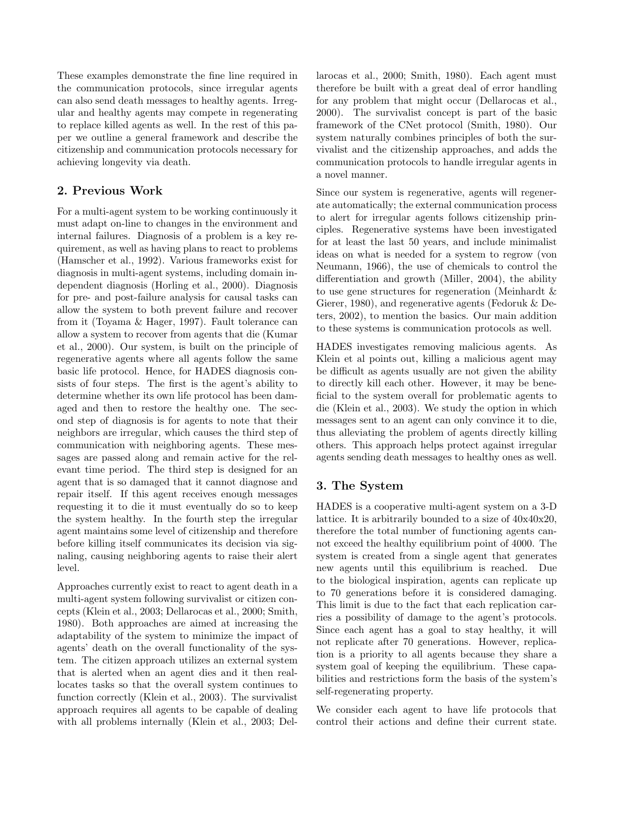These examples demonstrate the fine line required in the communication protocols, since irregular agents can also send death messages to healthy agents. Irregular and healthy agents may compete in regenerating to replace killed agents as well. In the rest of this paper we outline a general framework and describe the citizenship and communication protocols necessary for achieving longevity via death.

# 2. Previous Work

For a multi-agent system to be working continuously it must adapt on-line to changes in the environment and internal failures. Diagnosis of a problem is a key requirement, as well as having plans to react to problems (Hamscher et al., 1992). Various frameworks exist for diagnosis in multi-agent systems, including domain independent diagnosis (Horling et al., 2000). Diagnosis for pre- and post-failure analysis for causal tasks can allow the system to both prevent failure and recover from it (Toyama & Hager, 1997). Fault tolerance can allow a system to recover from agents that die (Kumar et al., 2000). Our system, is built on the principle of regenerative agents where all agents follow the same basic life protocol. Hence, for HADES diagnosis consists of four steps. The first is the agent's ability to determine whether its own life protocol has been damaged and then to restore the healthy one. The second step of diagnosis is for agents to note that their neighbors are irregular, which causes the third step of communication with neighboring agents. These messages are passed along and remain active for the relevant time period. The third step is designed for an agent that is so damaged that it cannot diagnose and repair itself. If this agent receives enough messages requesting it to die it must eventually do so to keep the system healthy. In the fourth step the irregular agent maintains some level of citizenship and therefore before killing itself communicates its decision via signaling, causing neighboring agents to raise their alert level.

Approaches currently exist to react to agent death in a multi-agent system following survivalist or citizen concepts (Klein et al., 2003; Dellarocas et al., 2000; Smith, 1980). Both approaches are aimed at increasing the adaptability of the system to minimize the impact of agents' death on the overall functionality of the system. The citizen approach utilizes an external system that is alerted when an agent dies and it then reallocates tasks so that the overall system continues to function correctly (Klein et al., 2003). The survivalist approach requires all agents to be capable of dealing with all problems internally (Klein et al., 2003; Dellarocas et al., 2000; Smith, 1980). Each agent must therefore be built with a great deal of error handling for any problem that might occur (Dellarocas et al., 2000). The survivalist concept is part of the basic framework of the CNet protocol (Smith, 1980). Our system naturally combines principles of both the survivalist and the citizenship approaches, and adds the communication protocols to handle irregular agents in a novel manner.

Since our system is regenerative, agents will regenerate automatically; the external communication process to alert for irregular agents follows citizenship principles. Regenerative systems have been investigated for at least the last 50 years, and include minimalist ideas on what is needed for a system to regrow (von Neumann, 1966), the use of chemicals to control the differentiation and growth (Miller, 2004), the ability to use gene structures for regeneration (Meinhardt & Gierer, 1980), and regenerative agents (Fedoruk & Deters, 2002), to mention the basics. Our main addition to these systems is communication protocols as well.

HADES investigates removing malicious agents. As Klein et al points out, killing a malicious agent may be difficult as agents usually are not given the ability to directly kill each other. However, it may be beneficial to the system overall for problematic agents to die (Klein et al., 2003). We study the option in which messages sent to an agent can only convince it to die, thus alleviating the problem of agents directly killing others. This approach helps protect against irregular agents sending death messages to healthy ones as well.

# 3. The System

HADES is a cooperative multi-agent system on a 3-D lattice. It is arbitrarily bounded to a size of 40x40x20, therefore the total number of functioning agents cannot exceed the healthy equilibrium point of 4000. The system is created from a single agent that generates new agents until this equilibrium is reached. Due to the biological inspiration, agents can replicate up to 70 generations before it is considered damaging. This limit is due to the fact that each replication carries a possibility of damage to the agent's protocols. Since each agent has a goal to stay healthy, it will not replicate after 70 generations. However, replication is a priority to all agents because they share a system goal of keeping the equilibrium. These capabilities and restrictions form the basis of the system's self-regenerating property.

We consider each agent to have life protocols that control their actions and define their current state.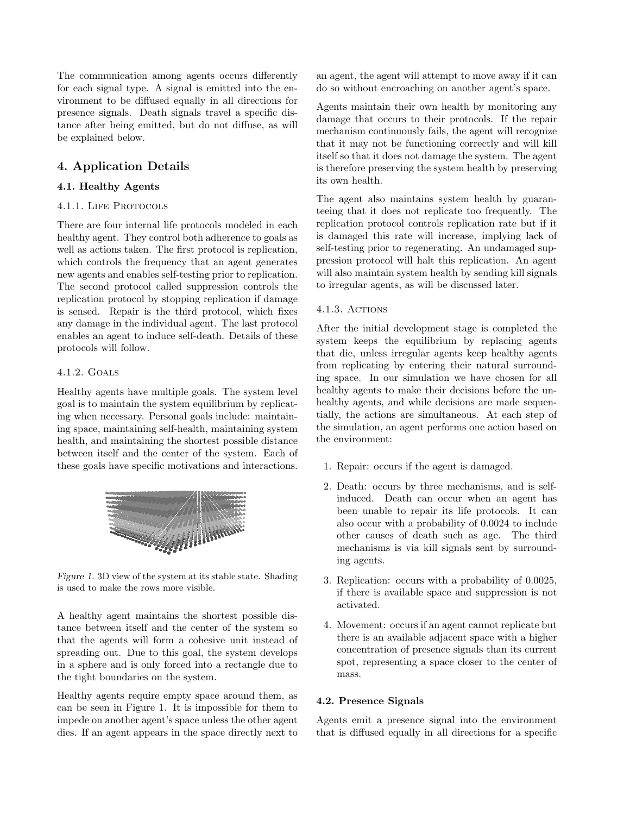The communication among agents occurs differently for each signal type. A signal is emitted into the environment to be diffused equally in all directions for presence signals. Death signals travel a specific distance after being emitted, but do not diffuse, as will be explained below.

# 4. Application Details

## 4.1. Healthy Agents

## 4.1.1. LIFE PROTOCOLS

There are four internal life protocols modeled in each healthy agent. They control both adherence to goals as well as actions taken. The first protocol is replication, which controls the frequency that an agent generates new agents and enables self-testing prior to replication. The second protocol called suppression controls the replication protocol by stopping replication if damage is sensed. Repair is the third protocol, which fixes any damage in the individual agent. The last protocol enables an agent to induce self-death. Details of these protocols will follow.

## 4.1.2. Goals

Healthy agents have multiple goals. The system level goal is to maintain the system equilibrium by replicating when necessary. Personal goals include: maintaining space, maintaining self-health, maintaining system health, and maintaining the shortest possible distance between itself and the center of the system. Each of these goals have specific motivations and interactions.



Figure 1. 3D view of the system at its stable state. Shading is used to make the rows more visible.

A healthy agent maintains the shortest possible distance between itself and the center of the system so that the agents will form a cohesive unit instead of spreading out. Due to this goal, the system develops in a sphere and is only forced into a rectangle due to the tight boundaries on the system.

Healthy agents require empty space around them, as can be seen in Figure 1. It is impossible for them to impede on another agent's space unless the other agent dies. If an agent appears in the space directly next to

an agent, the agent will attempt to move away if it can do so without encroaching on another agent's space.

Agents maintain their own health by monitoring any damage that occurs to their protocols. If the repair mechanism continuously fails, the agent will recognize that it may not be functioning correctly and will kill itself so that it does not damage the system. The agent is therefore preserving the system health by preserving its own health.

The agent also maintains system health by guaranteeing that it does not replicate too frequently. The replication protocol controls replication rate but if it is damaged this rate will increase, implying lack of self-testing prior to regenerating. An undamaged suppression protocol will halt this replication. An agent will also maintain system health by sending kill signals to irregular agents, as will be discussed later.

#### 4.1.3. Actions

After the initial development stage is completed the system keeps the equilibrium by replacing agents that die, unless irregular agents keep healthy agents from replicating by entering their natural surrounding space. In our simulation we have chosen for all healthy agents to make their decisions before the unhealthy agents, and while decisions are made sequentially, the actions are simultaneous. At each step of the simulation, an agent performs one action based on the environment:

- 1. Repair: occurs if the agent is damaged.
- 2. Death: occurs by three mechanisms, and is selfinduced. Death can occur when an agent has been unable to repair its life protocols. It can also occur with a probability of 0.0024 to include other causes of death such as age. The third mechanisms is via kill signals sent by surrounding agents.
- 3. Replication: occurs with a probability of 0.0025, if there is available space and suppression is not activated.
- 4. Movement: occurs if an agent cannot replicate but there is an available adjacent space with a higher concentration of presence signals than its current spot, representing a space closer to the center of mass.

## 4.2. Presence Signals

Agents emit a presence signal into the environment that is diffused equally in all directions for a specific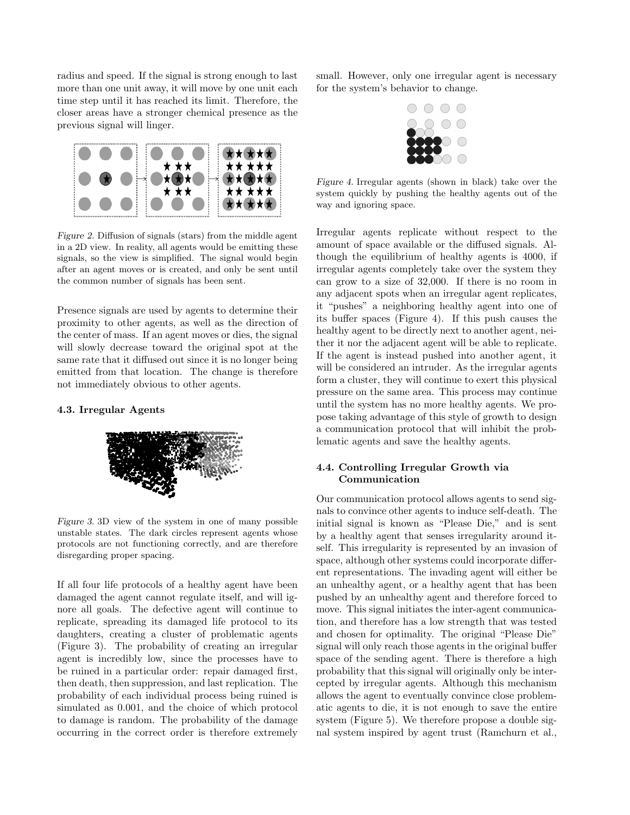radius and speed. If the signal is strong enough to last more than one unit away, it will move by one unit each time step until it has reached its limit. Therefore, the closer areas have a stronger chemical presence as the previous signal will linger.



Figure 2. Diffusion of signals (stars) from the middle agent in a 2D view. In reality, all agents would be emitting these signals, so the view is simplified. The signal would begin after an agent moves or is created, and only be sent until the common number of signals has been sent.

Presence signals are used by agents to determine their proximity to other agents, as well as the direction of the center of mass. If an agent moves or dies, the signal will slowly decrease toward the original spot at the same rate that it diffused out since it is no longer being emitted from that location. The change is therefore not immediately obvious to other agents.

#### 4.3. Irregular Agents



Figure 3. 3D view of the system in one of many possible unstable states. The dark circles represent agents whose protocols are not functioning correctly, and are therefore disregarding proper spacing.

If all four life protocols of a healthy agent have been damaged the agent cannot regulate itself, and will ignore all goals. The defective agent will continue to replicate, spreading its damaged life protocol to its daughters, creating a cluster of problematic agents (Figure 3). The probability of creating an irregular agent is incredibly low, since the processes have to be ruined in a particular order: repair damaged first, then death, then suppression, and last replication. The probability of each individual process being ruined is simulated as 0.001, and the choice of which protocol to damage is random. The probability of the damage occurring in the correct order is therefore extremely small. However, only one irregular agent is necessary for the system's behavior to change.



Figure 4. Irregular agents (shown in black) take over the system quickly by pushing the healthy agents out of the way and ignoring space.

Irregular agents replicate without respect to the amount of space available or the diffused signals. Although the equilibrium of healthy agents is 4000, if irregular agents completely take over the system they can grow to a size of 32,000. If there is no room in any adjacent spots when an irregular agent replicates, it "pushes" a neighboring healthy agent into one of its buffer spaces (Figure 4). If this push causes the healthy agent to be directly next to another agent, neither it nor the adjacent agent will be able to replicate. If the agent is instead pushed into another agent, it will be considered an intruder. As the irregular agents form a cluster, they will continue to exert this physical pressure on the same area. This process may continue until the system has no more healthy agents. We propose taking advantage of this style of growth to design a communication protocol that will inhibit the problematic agents and save the healthy agents.

# 4.4. Controlling Irregular Growth via Communication

Our communication protocol allows agents to send signals to convince other agents to induce self-death. The initial signal is known as "Please Die," and is sent by a healthy agent that senses irregularity around itself. This irregularity is represented by an invasion of space, although other systems could incorporate different representations. The invading agent will either be an unhealthy agent, or a healthy agent that has been pushed by an unhealthy agent and therefore forced to move. This signal initiates the inter-agent communication, and therefore has a low strength that was tested and chosen for optimality. The original "Please Die" signal will only reach those agents in the original buffer space of the sending agent. There is therefore a high probability that this signal will originally only be intercepted by irregular agents. Although this mechanism allows the agent to eventually convince close problematic agents to die, it is not enough to save the entire system (Figure 5). We therefore propose a double signal system inspired by agent trust (Ramchurn et al.,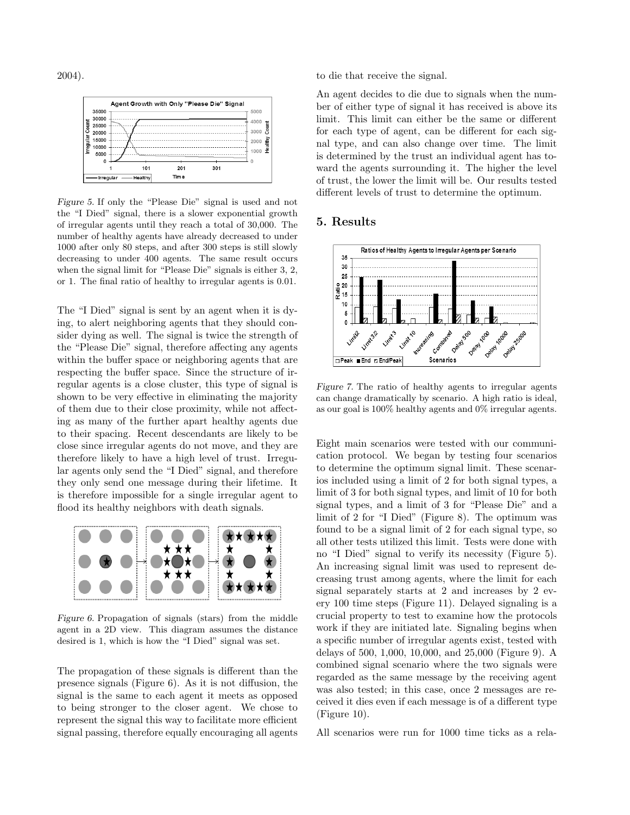2004).



Figure 5. If only the "Please Die" signal is used and not the "I Died" signal, there is a slower exponential growth of irregular agents until they reach a total of 30,000. The number of healthy agents have already decreased to under 1000 after only 80 steps, and after 300 steps is still slowly decreasing to under 400 agents. The same result occurs when the signal limit for "Please Die" signals is either 3, 2, or 1. The final ratio of healthy to irregular agents is 0.01.

The "I Died" signal is sent by an agent when it is dying, to alert neighboring agents that they should consider dying as well. The signal is twice the strength of the "Please Die" signal, therefore affecting any agents within the buffer space or neighboring agents that are respecting the buffer space. Since the structure of irregular agents is a close cluster, this type of signal is shown to be very effective in eliminating the majority of them due to their close proximity, while not affecting as many of the further apart healthy agents due to their spacing. Recent descendants are likely to be close since irregular agents do not move, and they are therefore likely to have a high level of trust. Irregular agents only send the "I Died" signal, and therefore they only send one message during their lifetime. It is therefore impossible for a single irregular agent to flood its healthy neighbors with death signals.



Figure 6. Propagation of signals (stars) from the middle agent in a 2D view. This diagram assumes the distance desired is 1, which is how the "I Died" signal was set.

The propagation of these signals is different than the presence signals (Figure 6). As it is not diffusion, the signal is the same to each agent it meets as opposed to being stronger to the closer agent. We chose to represent the signal this way to facilitate more efficient signal passing, therefore equally encouraging all agents to die that receive the signal.

An agent decides to die due to signals when the number of either type of signal it has received is above its limit. This limit can either be the same or different for each type of agent, can be different for each signal type, and can also change over time. The limit is determined by the trust an individual agent has toward the agents surrounding it. The higher the level of trust, the lower the limit will be. Our results tested different levels of trust to determine the optimum.

## 5. Results



Figure 7. The ratio of healthy agents to irregular agents can change dramatically by scenario. A high ratio is ideal, as our goal is 100% healthy agents and 0% irregular agents.

Eight main scenarios were tested with our communication protocol. We began by testing four scenarios to determine the optimum signal limit. These scenarios included using a limit of 2 for both signal types, a limit of 3 for both signal types, and limit of 10 for both signal types, and a limit of 3 for "Please Die" and a limit of 2 for "I Died" (Figure 8). The optimum was found to be a signal limit of 2 for each signal type, so all other tests utilized this limit. Tests were done with no "I Died" signal to verify its necessity (Figure 5). An increasing signal limit was used to represent decreasing trust among agents, where the limit for each signal separately starts at 2 and increases by 2 every 100 time steps (Figure 11). Delayed signaling is a crucial property to test to examine how the protocols work if they are initiated late. Signaling begins when a specific number of irregular agents exist, tested with delays of 500, 1,000, 10,000, and 25,000 (Figure 9). A combined signal scenario where the two signals were regarded as the same message by the receiving agent was also tested; in this case, once 2 messages are received it dies even if each message is of a different type (Figure 10).

All scenarios were run for 1000 time ticks as a rela-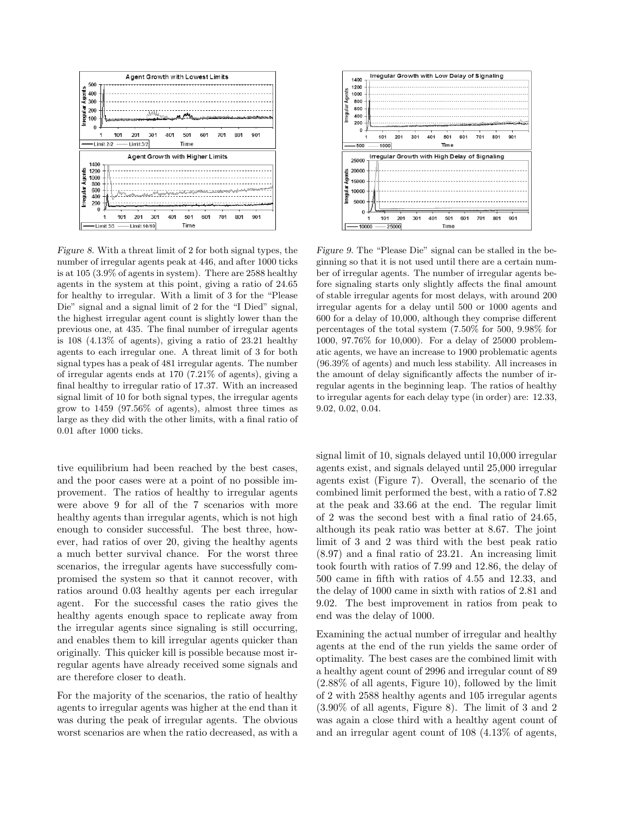

Figure 8. With a threat limit of 2 for both signal types, the number of irregular agents peak at 446, and after 1000 ticks is at 105 (3.9% of agents in system). There are 2588 healthy agents in the system at this point, giving a ratio of 24.65 for healthy to irregular. With a limit of 3 for the "Please Die" signal and a signal limit of 2 for the "I Died" signal, the highest irregular agent count is slightly lower than the previous one, at 435. The final number of irregular agents is 108 (4.13% of agents), giving a ratio of 23.21 healthy agents to each irregular one. A threat limit of 3 for both signal types has a peak of 481 irregular agents. The number of irregular agents ends at 170 (7.21% of agents), giving a final healthy to irregular ratio of 17.37. With an increased signal limit of 10 for both signal types, the irregular agents grow to 1459 (97.56% of agents), almost three times as large as they did with the other limits, with a final ratio of 0.01 after 1000 ticks.

tive equilibrium had been reached by the best cases, and the poor cases were at a point of no possible improvement. The ratios of healthy to irregular agents were above 9 for all of the 7 scenarios with more healthy agents than irregular agents, which is not high enough to consider successful. The best three, however, had ratios of over 20, giving the healthy agents a much better survival chance. For the worst three scenarios, the irregular agents have successfully compromised the system so that it cannot recover, with ratios around 0.03 healthy agents per each irregular agent. For the successful cases the ratio gives the healthy agents enough space to replicate away from the irregular agents since signaling is still occurring, and enables them to kill irregular agents quicker than originally. This quicker kill is possible because most irregular agents have already received some signals and are therefore closer to death.

For the majority of the scenarios, the ratio of healthy agents to irregular agents was higher at the end than it was during the peak of irregular agents. The obvious worst scenarios are when the ratio decreased, as with a



Figure 9. The "Please Die" signal can be stalled in the beginning so that it is not used until there are a certain number of irregular agents. The number of irregular agents before signaling starts only slightly affects the final amount of stable irregular agents for most delays, with around 200 irregular agents for a delay until 500 or 1000 agents and 600 for a delay of 10,000, although they comprise different percentages of the total system (7.50% for 500, 9.98% for 1000, 97.76% for 10,000). For a delay of 25000 problematic agents, we have an increase to 1900 problematic agents (96.39% of agents) and much less stability. All increases in the amount of delay significantly affects the number of irregular agents in the beginning leap. The ratios of healthy to irregular agents for each delay type (in order) are: 12.33, 9.02, 0.02, 0.04.

signal limit of 10, signals delayed until 10,000 irregular agents exist, and signals delayed until 25,000 irregular agents exist (Figure 7). Overall, the scenario of the combined limit performed the best, with a ratio of 7.82 at the peak and 33.66 at the end. The regular limit of 2 was the second best with a final ratio of 24.65, although its peak ratio was better at 8.67. The joint limit of 3 and 2 was third with the best peak ratio (8.97) and a final ratio of 23.21. An increasing limit took fourth with ratios of 7.99 and 12.86, the delay of 500 came in fifth with ratios of 4.55 and 12.33, and the delay of 1000 came in sixth with ratios of 2.81 and 9.02. The best improvement in ratios from peak to end was the delay of 1000.

Examining the actual number of irregular and healthy agents at the end of the run yields the same order of optimality. The best cases are the combined limit with a healthy agent count of 2996 and irregular count of 89 (2.88% of all agents, Figure 10), followed by the limit of 2 with 2588 healthy agents and 105 irregular agents (3.90% of all agents, Figure 8). The limit of 3 and 2 was again a close third with a healthy agent count of and an irregular agent count of 108 (4.13% of agents,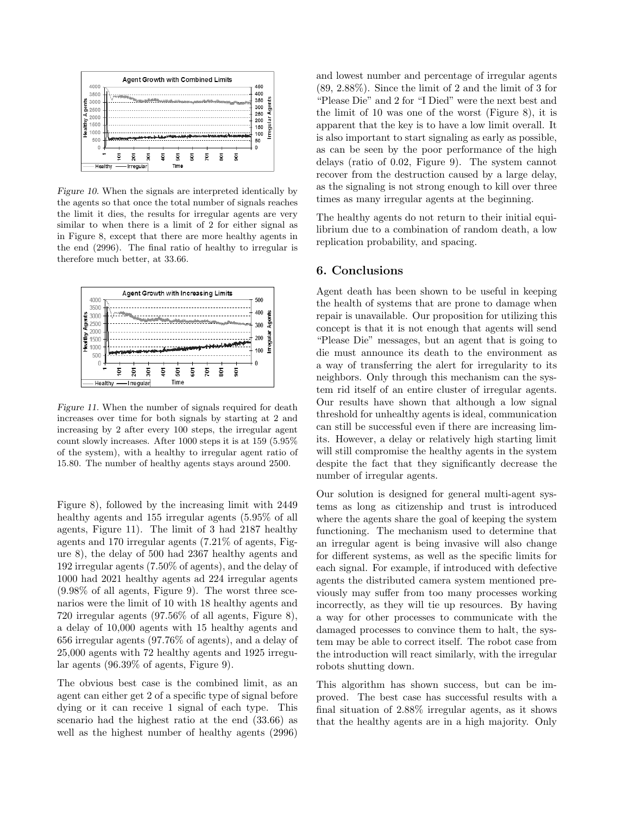

Figure 10. When the signals are interpreted identically by the agents so that once the total number of signals reaches the limit it dies, the results for irregular agents are very similar to when there is a limit of 2 for either signal as in Figure 8, except that there are more healthy agents in the end (2996). The final ratio of healthy to irregular is therefore much better, at 33.66.



Figure 11. When the number of signals required for death increases over time for both signals by starting at 2 and increasing by 2 after every 100 steps, the irregular agent count slowly increases. After 1000 steps it is at 159 (5.95% of the system), with a healthy to irregular agent ratio of 15.80. The number of healthy agents stays around 2500.

Figure 8), followed by the increasing limit with 2449 healthy agents and 155 irregular agents (5.95% of all agents, Figure 11). The limit of 3 had 2187 healthy agents and 170 irregular agents (7.21% of agents, Figure 8), the delay of 500 had 2367 healthy agents and 192 irregular agents (7.50% of agents), and the delay of 1000 had 2021 healthy agents ad 224 irregular agents (9.98% of all agents, Figure 9). The worst three scenarios were the limit of 10 with 18 healthy agents and 720 irregular agents (97.56% of all agents, Figure 8), a delay of 10,000 agents with 15 healthy agents and 656 irregular agents (97.76% of agents), and a delay of 25,000 agents with 72 healthy agents and 1925 irregular agents (96.39% of agents, Figure 9).

The obvious best case is the combined limit, as an agent can either get 2 of a specific type of signal before dying or it can receive 1 signal of each type. This scenario had the highest ratio at the end (33.66) as well as the highest number of healthy agents (2996) and lowest number and percentage of irregular agents (89, 2.88%). Since the limit of 2 and the limit of 3 for "Please Die" and 2 for "I Died" were the next best and the limit of 10 was one of the worst (Figure 8), it is apparent that the key is to have a low limit overall. It is also important to start signaling as early as possible, as can be seen by the poor performance of the high delays (ratio of 0.02, Figure 9). The system cannot recover from the destruction caused by a large delay, as the signaling is not strong enough to kill over three times as many irregular agents at the beginning.

The healthy agents do not return to their initial equilibrium due to a combination of random death, a low replication probability, and spacing.

#### 6. Conclusions

Agent death has been shown to be useful in keeping the health of systems that are prone to damage when repair is unavailable. Our proposition for utilizing this concept is that it is not enough that agents will send "Please Die" messages, but an agent that is going to die must announce its death to the environment as a way of transferring the alert for irregularity to its neighbors. Only through this mechanism can the system rid itself of an entire cluster of irregular agents. Our results have shown that although a low signal threshold for unhealthy agents is ideal, communication can still be successful even if there are increasing limits. However, a delay or relatively high starting limit will still compromise the healthy agents in the system despite the fact that they significantly decrease the number of irregular agents.

Our solution is designed for general multi-agent systems as long as citizenship and trust is introduced where the agents share the goal of keeping the system functioning. The mechanism used to determine that an irregular agent is being invasive will also change for different systems, as well as the specific limits for each signal. For example, if introduced with defective agents the distributed camera system mentioned previously may suffer from too many processes working incorrectly, as they will tie up resources. By having a way for other processes to communicate with the damaged processes to convince them to halt, the system may be able to correct itself. The robot case from the introduction will react similarly, with the irregular robots shutting down.

This algorithm has shown success, but can be improved. The best case has successful results with a final situation of 2.88% irregular agents, as it shows that the healthy agents are in a high majority. Only